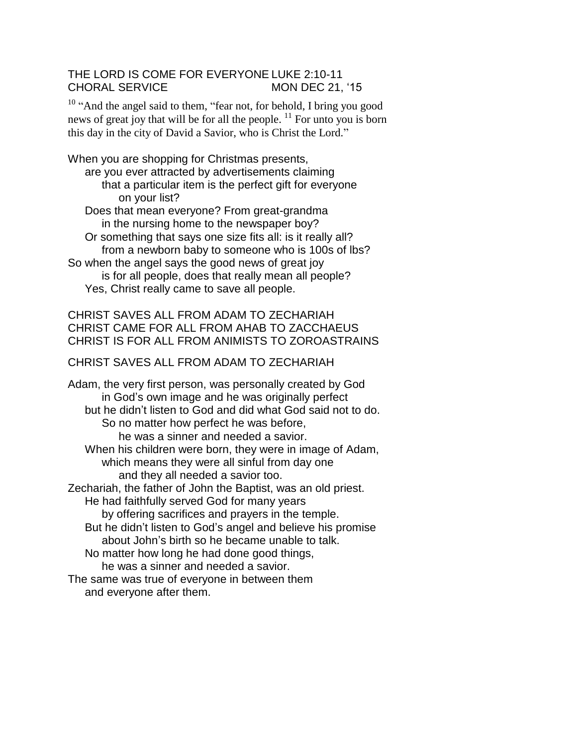## THE LORD IS COME FOR EVERYONE LUKE 2:10-11 CHORAL SERVICE MON DEC 21, '15

<sup>10</sup> "And the angel said to them, "fear not, for behold, I bring you good news of great joy that will be for all the people.  $\frac{11}{11}$  For unto you is born this day in the city of David a Savior, who is Christ the Lord."

When you are shopping for Christmas presents, are you ever attracted by advertisements claiming that a particular item is the perfect gift for everyone on your list? Does that mean everyone? From great-grandma

in the nursing home to the newspaper boy?

Or something that says one size fits all: is it really all? from a newborn baby to someone who is 100s of lbs?

So when the angel says the good news of great joy is for all people, does that really mean all people? Yes, Christ really came to save all people.

## CHRIST SAVES ALL FROM ADAM TO ZECHARIAH CHRIST CAME FOR ALL FROM AHAB TO ZACCHAEUS CHRIST IS FOR ALL FROM ANIMISTS TO ZOROASTRAINS

## CHRIST SAVES ALL FROM ADAM TO ZECHARIAH

Adam, the very first person, was personally created by God in God's own image and he was originally perfect but he didn't listen to God and did what God said not to do. So no matter how perfect he was before, he was a sinner and needed a savior. When his children were born, they were in image of Adam, which means they were all sinful from day one and they all needed a savior too. Zechariah, the father of John the Baptist, was an old priest. He had faithfully served God for many years by offering sacrifices and prayers in the temple. But he didn't listen to God's angel and believe his promise about John's birth so he became unable to talk. No matter how long he had done good things, he was a sinner and needed a savior. The same was true of everyone in between them

and everyone after them.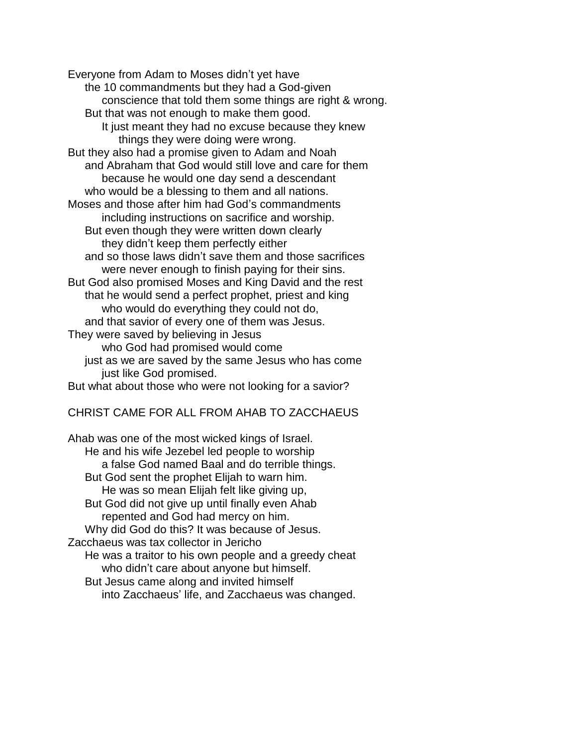Everyone from Adam to Moses didn't yet have the 10 commandments but they had a God-given conscience that told them some things are right & wrong. But that was not enough to make them good. It just meant they had no excuse because they knew things they were doing were wrong. But they also had a promise given to Adam and Noah and Abraham that God would still love and care for them because he would one day send a descendant who would be a blessing to them and all nations. Moses and those after him had God's commandments including instructions on sacrifice and worship. But even though they were written down clearly they didn't keep them perfectly either and so those laws didn't save them and those sacrifices were never enough to finish paying for their sins. But God also promised Moses and King David and the rest that he would send a perfect prophet, priest and king who would do everything they could not do, and that savior of every one of them was Jesus. They were saved by believing in Jesus who God had promised would come just as we are saved by the same Jesus who has come just like God promised. But what about those who were not looking for a savior?

## CHRIST CAME FOR ALL FROM AHAB TO ZACCHAEUS

Ahab was one of the most wicked kings of Israel. He and his wife Jezebel led people to worship a false God named Baal and do terrible things. But God sent the prophet Elijah to warn him. He was so mean Elijah felt like giving up, But God did not give up until finally even Ahab repented and God had mercy on him. Why did God do this? It was because of Jesus. Zacchaeus was tax collector in Jericho He was a traitor to his own people and a greedy cheat who didn't care about anyone but himself. But Jesus came along and invited himself into Zacchaeus' life, and Zacchaeus was changed.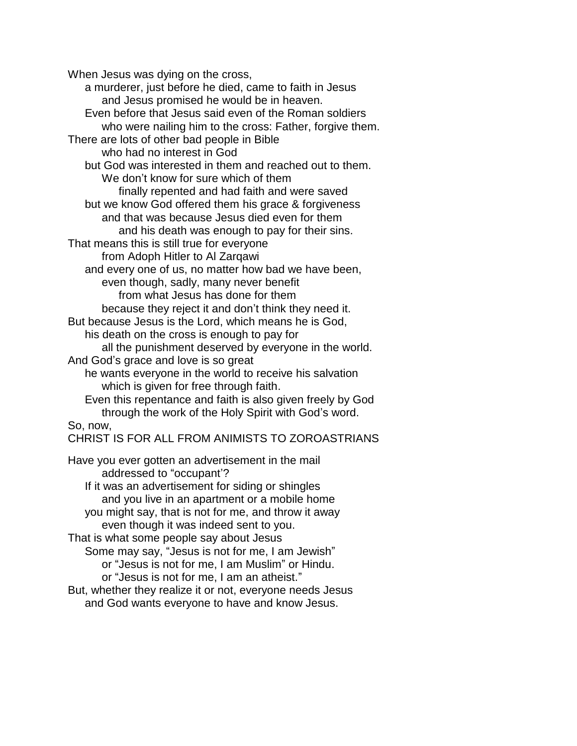When Jesus was dying on the cross,

a murderer, just before he died, came to faith in Jesus and Jesus promised he would be in heaven. Even before that Jesus said even of the Roman soldiers who were nailing him to the cross: Father, forgive them. There are lots of other bad people in Bible who had no interest in God but God was interested in them and reached out to them. We don't know for sure which of them finally repented and had faith and were saved but we know God offered them his grace & forgiveness and that was because Jesus died even for them and his death was enough to pay for their sins. That means this is still true for everyone from Adoph Hitler to Al Zarqawi and every one of us, no matter how bad we have been, even though, sadly, many never benefit from what Jesus has done for them because they reject it and don't think they need it. But because Jesus is the Lord, which means he is God, his death on the cross is enough to pay for all the punishment deserved by everyone in the world. And God's grace and love is so great he wants everyone in the world to receive his salvation which is given for free through faith. Even this repentance and faith is also given freely by God through the work of the Holy Spirit with God's word. So, now, CHRIST IS FOR ALL FROM ANIMISTS TO ZOROASTRIANS Have you ever gotten an advertisement in the mail addressed to "occupant'? If it was an advertisement for siding or shingles and you live in an apartment or a mobile home you might say, that is not for me, and throw it away even though it was indeed sent to you. That is what some people say about Jesus Some may say, "Jesus is not for me, I am Jewish" or "Jesus is not for me, I am Muslim" or Hindu. or "Jesus is not for me, I am an atheist."

But, whether they realize it or not, everyone needs Jesus and God wants everyone to have and know Jesus.